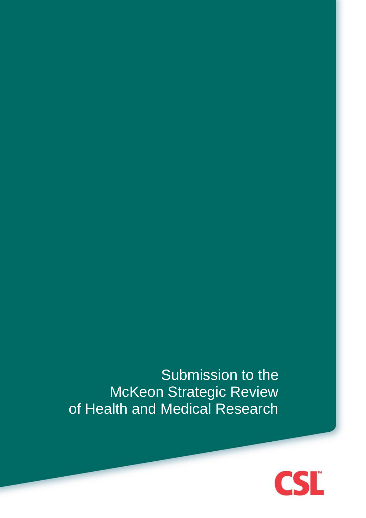Submission to the McKeon Strategic Review of Health and Medical Research

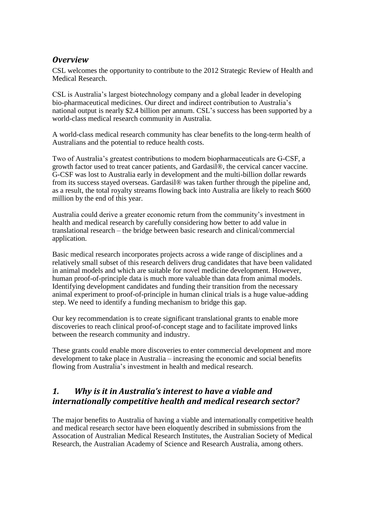### *Overview*

CSL welcomes the opportunity to contribute to the 2012 Strategic Review of Health and Medical Research.

CSL is Australia's largest biotechnology company and a global leader in developing bio-pharmaceutical medicines. Our direct and indirect contribution to Australia's national output is nearly \$2.4 billion per annum. CSL's success has been supported by a world-class medical research community in Australia.

A world-class medical research community has clear benefits to the long-term health of Australians and the potential to reduce health costs.

Two of Australia's greatest contributions to modern biopharmaceuticals are G-CSF, a growth factor used to treat cancer patients, and Gardasil®, the cervical cancer vaccine. G-CSF was lost to Australia early in development and the multi-billion dollar rewards from its success stayed overseas. Gardasil® was taken further through the pipeline and, as a result, the total royalty streams flowing back into Australia are likely to reach \$600 million by the end of this year.

Australia could derive a greater economic return from the community's investment in health and medical research by carefully considering how better to add value in translational research – the bridge between basic research and clinical/commercial application.

Basic medical research incorporates projects across a wide range of disciplines and a relatively small subset of this research delivers drug candidates that have been validated in animal models and which are suitable for novel medicine development. However, human proof-of-principle data is much more valuable than data from animal models. Identifying development candidates and funding their transition from the necessary animal experiment to proof-of-principle in human clinical trials is a huge value-adding step. We need to identify a funding mechanism to bridge this gap.

Our key recommendation is to create significant translational grants to enable more discoveries to reach clinical proof-of-concept stage and to facilitate improved links between the research community and industry.

These grants could enable more discoveries to enter commercial development and more development to take place in Australia – increasing the economic and social benefits flowing from Australia's investment in health and medical research.

## *1. Why is it in Australia's interest to have a viable and internationally competitive health and medical research sector?*

The major benefits to Australia of having a viable and internationally competitive health and medical research sector have been eloquently described in submissions from the Assocation of Australian Medical Research Institutes, the Australian Society of Medical Research, the Australian Academy of Science and Research Australia, among others.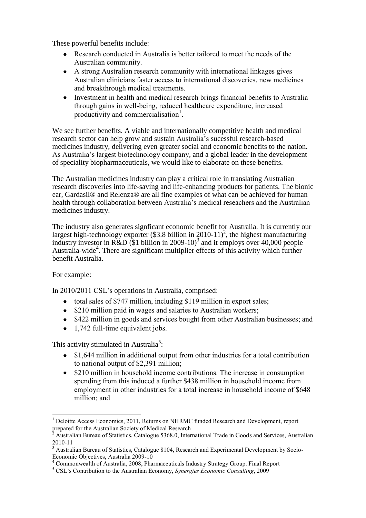These powerful benefits include:

- Research conducted in Australia is better tailored to meet the needs of the Australian community.
- A strong Australian research community with international linkages gives Australian clinicians faster access to international discoveries, new medicines and breakthrough medical treatments.
- Investment in health and medical research brings financial benefits to Australia through gains in well-being, reduced healthcare expenditure, increased productivity and commercialisation $<sup>1</sup>$ .</sup>

We see further benefits. A viable and internationally competitive health and medical research sector can help grow and sustain Australia's sucessful research-based medicines industry, delivering even greater social and economic benefits to the nation. As Australia's largest biotechnology company, and a global leader in the development of speciality biopharmaceuticals, we would like to elaborate on these benefits.

The Australian medicines industry can play a critical role in translating Australian research discoveries into life-saving and life-enhancing products for patients. The bionic ear, Gardasil® and Relenza® are all fine examples of what can be achieved for human health through collaboration between Australia's medical reseachers and the Australian medicines industry.

The industry also generates signficant economic benefit for Australia. It is currently our largest high-technology exporter (\$3.8 billion in 2010-11)<sup>2</sup>, the highest manufacturing industry investor in R&D (\$1 billion in 2009-10)<sup>3</sup> and it employs over 40,000 people Australia-wide<sup>4</sup>. There are significant multiplier effects of this activity which further benefit Australia.

### For example:

In 2010/2011 CSL's operations in Australia, comprised:

- total sales of \$747 million, including \$119 million in export sales;
- \$210 million paid in wages and salaries to Australian workers;
- \$422 million in goods and services bought from other Australian businesses; and
- 1,742 full-time equivalent jobs.

This activity stimulated in Australia<sup>5</sup>:

- \$1,644 million in additional output from other industries for a total contribution to national output of \$2,391 million;
- \$210 million in household income contributions. The increase in consumption spending from this induced a further \$438 million in household income from employment in other industries for a total increase in household income of \$648 million; and

<sup>&</sup>lt;u>.</u>  $<sup>1</sup>$  Deloitte Access Economics, 2011, Returns on NHRMC funded Research and Development, report</sup> prepared for the Australian Society of Medical Research

<sup>2</sup> Australian Bureau of Statistics, Catalogue 5368.0, International Trade in Goods and Services, Australian 2010-11

<sup>&</sup>lt;sup>3</sup> Australian Bureau of Statistics, Catalogue 8104, Research and Experimental Development by Socio-Economic Objectives, Australia 2009-10

<sup>&</sup>lt;sup>4</sup> Commonwealth of Australia, 2008, Pharmaceuticals Industry Strategy Group. Final Report

<sup>5</sup> CSL's Contribution to the Australian Economy, *Synergies Economic Consulting*, 2009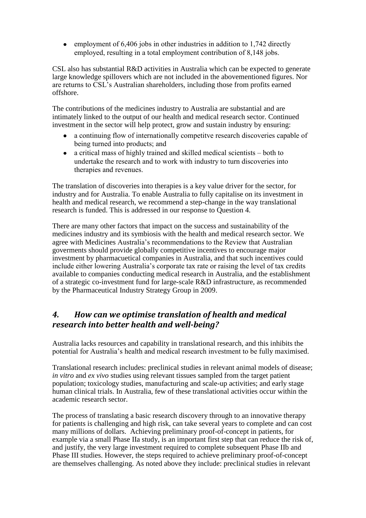employment of  $6,406$  jobs in other industries in addition to 1,742 directly employed, resulting in a total employment contribution of 8,148 jobs.

CSL also has substantial R&D activities in Australia which can be expected to generate large knowledge spillovers which are not included in the abovementioned figures. Nor are returns to CSL's Australian shareholders, including those from profits earned offshore.

The contributions of the medicines industry to Australia are substantial and are intimately linked to the output of our health and medical research sector. Continued investment in the sector will help protect, grow and sustain industry by ensuring:

- a continuing flow of internationally competitve research discoveries capable of being turned into products; and
- a critical mass of highly trained and skilled medical scientists both to undertake the research and to work with industry to turn discoveries into therapies and revenues.

The translation of discoveries into therapies is a key value driver for the sector, for industry and for Australia. To enable Australia to fully capitalise on its investment in health and medical research, we recommend a step-change in the way translational research is funded. This is addressed in our response to Question 4.

There are many other factors that impact on the success and sustainability of the medicines industry and its symbiosis with the health and medical research sector. We agree with Medicines Australia's recommendations to the Review that Australian goverments should provide globally competitive incentives to encourage major investment by pharmacuetical companies in Australia, and that such incentives could include either lowering Australia's corporate tax rate or raising the level of tax credits available to companies conducting medical research in Australia, and the establishment of a strategic co-investment fund for large-scale R&D infrastructure, as recommended by the Pharmaceutical Industry Strategy Group in 2009.

# *4. How can we optimise translation of health and medical research into better health and well-being?*

Australia lacks resources and capability in translational research, and this inhibits the potential for Australia's health and medical research investment to be fully maximised.

Translational research includes: preclinical studies in relevant animal models of disease; *in vitro* and *ex vivo* studies using relevant tissues sampled from the target patient population; toxicology studies, manufacturing and scale-up activities; and early stage human clinical trials. In Australia, few of these translational activities occur within the academic research sector.

The process of translating a basic research discovery through to an innovative therapy for patients is challenging and high risk, can take several years to complete and can cost many millions of dollars. Achieving preliminary proof-of-concept in patients, for example via a small Phase IIa study, is an important first step that can reduce the risk of, and justify, the very large investment required to complete subsequent Phase IIb and Phase III studies. However, the steps required to achieve preliminary proof-of-concept are themselves challenging. As noted above they include: preclinical studies in relevant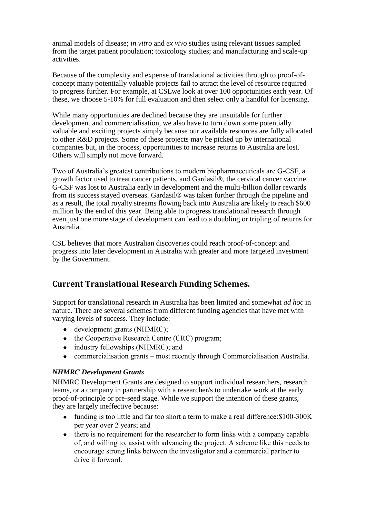animal models of disease; *in vitro* and *ex vivo* studies using relevant tissues sampled from the target patient population; toxicology studies; and manufacturing and scale-up activities.

Because of the complexity and expense of translational activities through to proof-ofconcept many potentially valuable projects fail to attract the level of resource required to progress further. For example, at CSLwe look at over 100 opportunities each year. Of these, we choose 5-10% for full evaluation and then select only a handful for licensing.

While many opportunities are declined because they are unsuitable for further development and commercialisation, we also have to turn down some potentially valuable and exciting projects simply because our available resources are fully allocated to other R&D projects. Some of these projects may be picked up by international companies but, in the process, opportunities to increase returns to Australia are lost. Others will simply not move forward.

Two of Australia's greatest contributions to modern biopharmaceuticals are G-CSF, a growth factor used to treat cancer patients, and Gardasil®, the cervical cancer vaccine. G-CSF was lost to Australia early in development and the multi-billion dollar rewards from its success stayed overseas. Gardasil® was taken further through the pipeline and as a result, the total royalty streams flowing back into Australia are likely to reach \$600 million by the end of this year. Being able to progress translational research through even just one more stage of development can lead to a doubling or tripling of returns for Australia.

CSL believes that more Australian discoveries could reach proof-of-concept and progress into later development in Australia with greater and more targeted investment by the Government.

## **Current Translational Research Funding Schemes.**

Support for translational research in Australia has been limited and somewhat *ad hoc* in nature. There are several schemes from different funding agencies that have met with varying levels of success. They include:

- development grants (NHMRC);
- the Cooperative Research Centre (CRC) program;
- industry fellowships (NHMRC); and
- commercialisation grants most recently through Commercialisation Australia.

#### *NHMRC Development Grants*

NHMRC Development Grants are designed to support individual researchers, research teams, or a company in partnership with a researcher/s to undertake work at the early proof-of-principle or pre-seed stage. While we support the intention of these grants, they are largely ineffective because:

- funding is too little and far too short a term to make a real difference: \$100-300K per year over 2 years; and
- there is no requirement for the researcher to form links with a company capable of, and willing to, assist with advancing the project. A scheme like this needs to encourage strong links between the investigator and a commercial partner to drive it forward.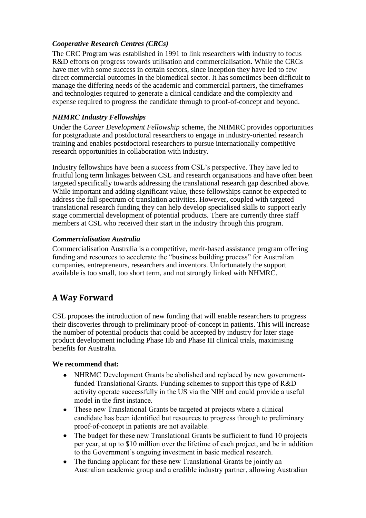### *Cooperative Research Centres (CRCs)*

The CRC Program was established in 1991 to link researchers with industry to focus R&D efforts on progress towards utilisation and commercialisation. While the CRCs have met with some success in certain sectors, since inception they have led to few direct commercial outcomes in the biomedical sector. It has sometimes been difficult to manage the differing needs of the academic and commercial partners, the timeframes and technologies required to generate a clinical candidate and the complexity and expense required to progress the candidate through to proof-of-concept and beyond.

### *NHMRC Industry Fellowships*

Under the *Career Development Fellowship* scheme, the NHMRC provides opportunities for postgraduate and postdoctoral researchers to engage in industry-oriented research training and enables postdoctoral researchers to pursue internationally competitive research opportunities in collaboration with industry.

Industry fellowships have been a success from CSL's perspective. They have led to fruitful long term linkages between CSL and research organisations and have often been targeted specifically towards addressing the translational research gap described above. While important and adding significant value, these fellowships cannot be expected to address the full spectrum of translation activities. However, coupled with targeted translational research funding they can help develop specialised skills to support early stage commercial development of potential products. There are currently three staff members at CSL who received their start in the industry through this program.

#### *Commercialisation Australia*

Commercialisation Australia is a competitive, merit-based assistance program offering funding and resources to accelerate the "business building process" for Australian companies, entrepreneurs, researchers and inventors. Unfortunately the support available is too small, too short term, and not strongly linked with NHMRC.

## **A Way Forward**

CSL proposes the introduction of new funding that will enable researchers to progress their discoveries through to preliminary proof-of-concept in patients. This will increase the number of potential products that could be accepted by industry for later stage product development including Phase IIb and Phase III clinical trials, maximising benefits for Australia.

#### **We recommend that:**

- NHRMC Development Grants be abolished and replaced by new governmentfunded Translational Grants. Funding schemes to support this type of R&D activity operate successfully in the US via the NIH and could provide a useful model in the first instance.
- These new Translational Grants be targeted at projects where a clinical  $\bullet$ candidate has been identified but resources to progress through to preliminary proof-of-concept in patients are not available.
- The budget for these new Translational Grants be sufficient to fund 10 projects per year, at up to \$10 million over the lifetime of each project, and be in addition to the Government's ongoing investment in basic medical research.
- The funding applicant for these new Translational Grants be jointly an Australian academic group and a credible industry partner, allowing Australian